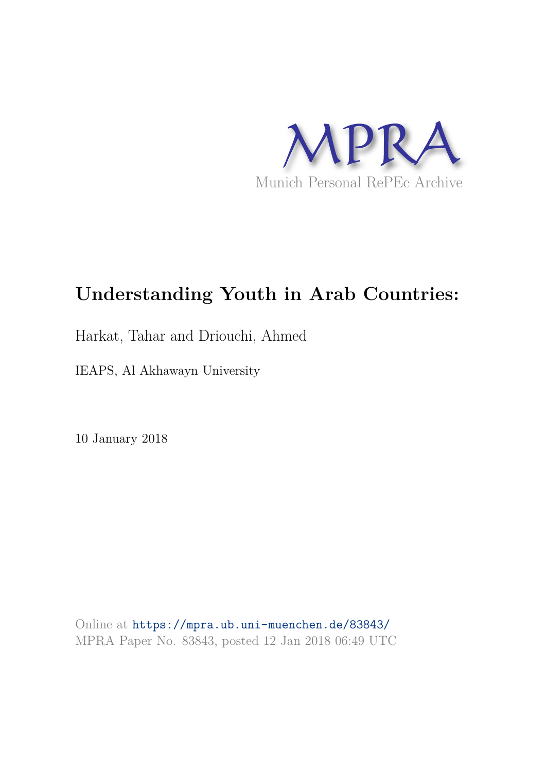

# **Understanding Youth in Arab Countries:**

Harkat, Tahar and Driouchi, Ahmed

IEAPS, Al Akhawayn University

10 January 2018

Online at https://mpra.ub.uni-muenchen.de/83843/ MPRA Paper No. 83843, posted 12 Jan 2018 06:49 UTC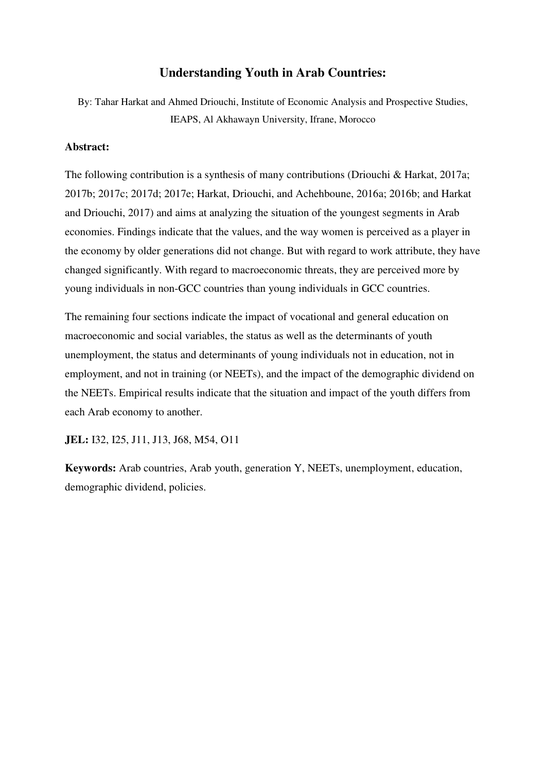## **Understanding Youth in Arab Countries:**

By: Tahar Harkat and Ahmed Driouchi, Institute of Economic Analysis and Prospective Studies, IEAPS, Al Akhawayn University, Ifrane, Morocco

#### **Abstract:**

The following contribution is a synthesis of many contributions (Driouchi & Harkat, 2017a; 2017b; 2017c; 2017d; 2017e; Harkat, Driouchi, and Achehboune, 2016a; 2016b; and Harkat and Driouchi, 2017) and aims at analyzing the situation of the youngest segments in Arab economies. Findings indicate that the values, and the way women is perceived as a player in the economy by older generations did not change. But with regard to work attribute, they have changed significantly. With regard to macroeconomic threats, they are perceived more by young individuals in non-GCC countries than young individuals in GCC countries.

The remaining four sections indicate the impact of vocational and general education on macroeconomic and social variables, the status as well as the determinants of youth unemployment, the status and determinants of young individuals not in education, not in employment, and not in training (or NEETs), and the impact of the demographic dividend on the NEETs. Empirical results indicate that the situation and impact of the youth differs from each Arab economy to another.

**JEL:** I32, I25, J11, J13, J68, M54, O11

**Keywords:** Arab countries, Arab youth, generation Y, NEETs, unemployment, education, demographic dividend, policies.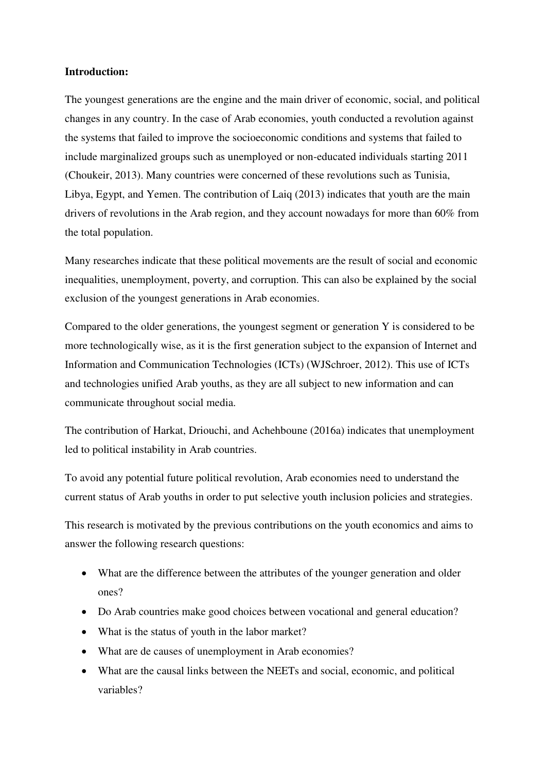#### **Introduction:**

The youngest generations are the engine and the main driver of economic, social, and political changes in any country. In the case of Arab economies, youth conducted a revolution against the systems that failed to improve the socioeconomic conditions and systems that failed to include marginalized groups such as unemployed or non-educated individuals starting 2011 (Choukeir, 2013). Many countries were concerned of these revolutions such as Tunisia, Libya, Egypt, and Yemen. The contribution of Laiq (2013) indicates that youth are the main drivers of revolutions in the Arab region, and they account nowadays for more than 60% from the total population.

Many researches indicate that these political movements are the result of social and economic inequalities, unemployment, poverty, and corruption. This can also be explained by the social exclusion of the youngest generations in Arab economies.

Compared to the older generations, the youngest segment or generation Y is considered to be more technologically wise, as it is the first generation subject to the expansion of Internet and Information and Communication Technologies (ICTs) (WJSchroer, 2012). This use of ICTs and technologies unified Arab youths, as they are all subject to new information and can communicate throughout social media.

The contribution of Harkat, Driouchi, and Achehboune (2016a) indicates that unemployment led to political instability in Arab countries.

To avoid any potential future political revolution, Arab economies need to understand the current status of Arab youths in order to put selective youth inclusion policies and strategies.

This research is motivated by the previous contributions on the youth economics and aims to answer the following research questions:

- What are the difference between the attributes of the younger generation and older ones?
- Do Arab countries make good choices between vocational and general education?
- What is the status of youth in the labor market?
- What are de causes of unemployment in Arab economies?
- What are the causal links between the NEETs and social, economic, and political variables?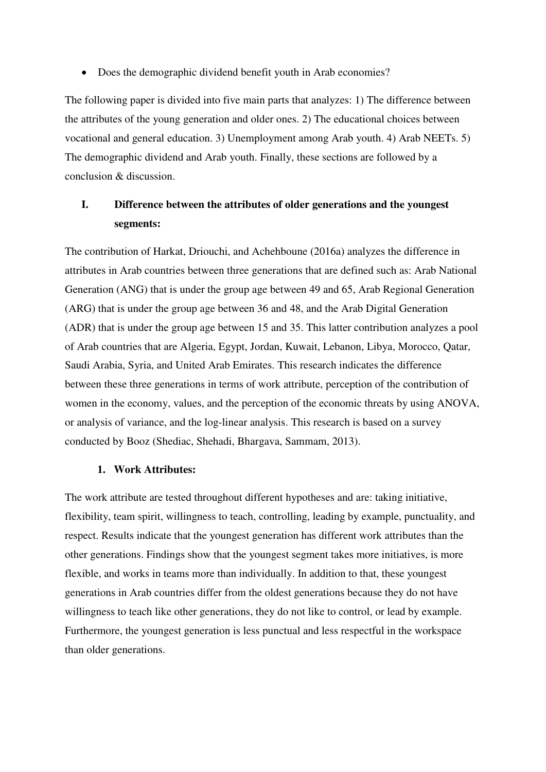• Does the demographic dividend benefit youth in Arab economies?

The following paper is divided into five main parts that analyzes: 1) The difference between the attributes of the young generation and older ones. 2) The educational choices between vocational and general education. 3) Unemployment among Arab youth. 4) Arab NEETs. 5) The demographic dividend and Arab youth. Finally, these sections are followed by a conclusion & discussion.

# **I. Difference between the attributes of older generations and the youngest segments:**

The contribution of Harkat, Driouchi, and Achehboune (2016a) analyzes the difference in attributes in Arab countries between three generations that are defined such as: Arab National Generation (ANG) that is under the group age between 49 and 65, Arab Regional Generation (ARG) that is under the group age between 36 and 48, and the Arab Digital Generation (ADR) that is under the group age between 15 and 35. This latter contribution analyzes a pool of Arab countries that are Algeria, Egypt, Jordan, Kuwait, Lebanon, Libya, Morocco, Qatar, Saudi Arabia, Syria, and United Arab Emirates. This research indicates the difference between these three generations in terms of work attribute, perception of the contribution of women in the economy, values, and the perception of the economic threats by using ANOVA, or analysis of variance, and the log-linear analysis. This research is based on a survey conducted by Booz (Shediac, Shehadi, Bhargava, Sammam, 2013).

#### **1. Work Attributes:**

The work attribute are tested throughout different hypotheses and are: taking initiative, flexibility, team spirit, willingness to teach, controlling, leading by example, punctuality, and respect. Results indicate that the youngest generation has different work attributes than the other generations. Findings show that the youngest segment takes more initiatives, is more flexible, and works in teams more than individually. In addition to that, these youngest generations in Arab countries differ from the oldest generations because they do not have willingness to teach like other generations, they do not like to control, or lead by example. Furthermore, the youngest generation is less punctual and less respectful in the workspace than older generations.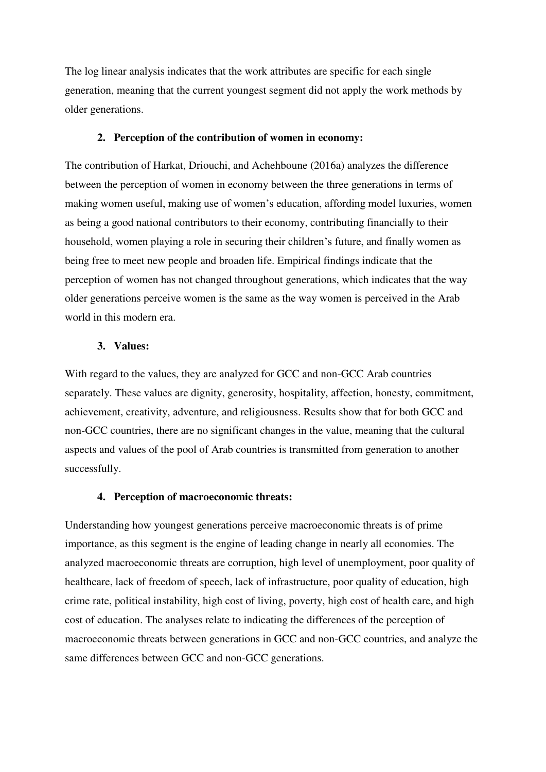The log linear analysis indicates that the work attributes are specific for each single generation, meaning that the current youngest segment did not apply the work methods by older generations.

#### **2. Perception of the contribution of women in economy:**

The contribution of Harkat, Driouchi, and Achehboune (2016a) analyzes the difference between the perception of women in economy between the three generations in terms of making women useful, making use of women's education, affording model luxuries, women as being a good national contributors to their economy, contributing financially to their household, women playing a role in securing their children's future, and finally women as being free to meet new people and broaden life. Empirical findings indicate that the perception of women has not changed throughout generations, which indicates that the way older generations perceive women is the same as the way women is perceived in the Arab world in this modern era.

#### **3. Values:**

With regard to the values, they are analyzed for GCC and non-GCC Arab countries separately. These values are dignity, generosity, hospitality, affection, honesty, commitment, achievement, creativity, adventure, and religiousness. Results show that for both GCC and non-GCC countries, there are no significant changes in the value, meaning that the cultural aspects and values of the pool of Arab countries is transmitted from generation to another successfully.

#### **4. Perception of macroeconomic threats:**

Understanding how youngest generations perceive macroeconomic threats is of prime importance, as this segment is the engine of leading change in nearly all economies. The analyzed macroeconomic threats are corruption, high level of unemployment, poor quality of healthcare, lack of freedom of speech, lack of infrastructure, poor quality of education, high crime rate, political instability, high cost of living, poverty, high cost of health care, and high cost of education. The analyses relate to indicating the differences of the perception of macroeconomic threats between generations in GCC and non-GCC countries, and analyze the same differences between GCC and non-GCC generations.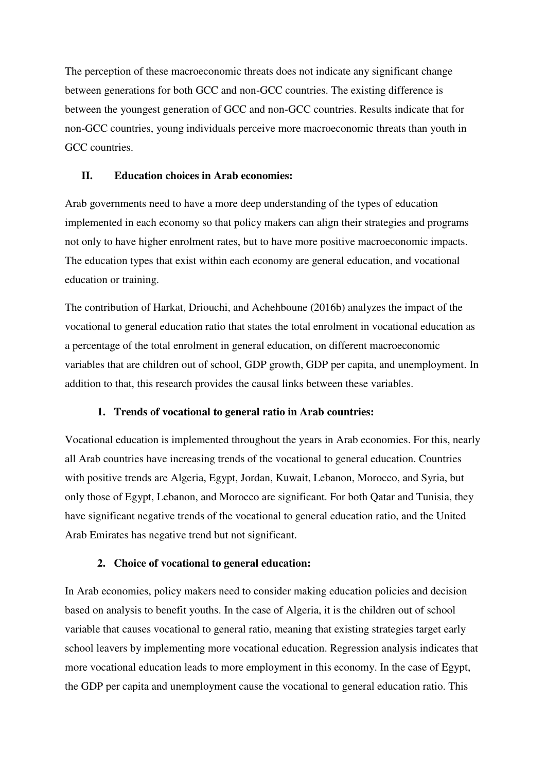The perception of these macroeconomic threats does not indicate any significant change between generations for both GCC and non-GCC countries. The existing difference is between the youngest generation of GCC and non-GCC countries. Results indicate that for non-GCC countries, young individuals perceive more macroeconomic threats than youth in GCC countries.

#### **II. Education choices in Arab economies:**

Arab governments need to have a more deep understanding of the types of education implemented in each economy so that policy makers can align their strategies and programs not only to have higher enrolment rates, but to have more positive macroeconomic impacts. The education types that exist within each economy are general education, and vocational education or training.

The contribution of Harkat, Driouchi, and Achehboune (2016b) analyzes the impact of the vocational to general education ratio that states the total enrolment in vocational education as a percentage of the total enrolment in general education, on different macroeconomic variables that are children out of school, GDP growth, GDP per capita, and unemployment. In addition to that, this research provides the causal links between these variables.

#### **1. Trends of vocational to general ratio in Arab countries:**

Vocational education is implemented throughout the years in Arab economies. For this, nearly all Arab countries have increasing trends of the vocational to general education. Countries with positive trends are Algeria, Egypt, Jordan, Kuwait, Lebanon, Morocco, and Syria, but only those of Egypt, Lebanon, and Morocco are significant. For both Qatar and Tunisia, they have significant negative trends of the vocational to general education ratio, and the United Arab Emirates has negative trend but not significant.

#### **2. Choice of vocational to general education:**

In Arab economies, policy makers need to consider making education policies and decision based on analysis to benefit youths. In the case of Algeria, it is the children out of school variable that causes vocational to general ratio, meaning that existing strategies target early school leavers by implementing more vocational education. Regression analysis indicates that more vocational education leads to more employment in this economy. In the case of Egypt, the GDP per capita and unemployment cause the vocational to general education ratio. This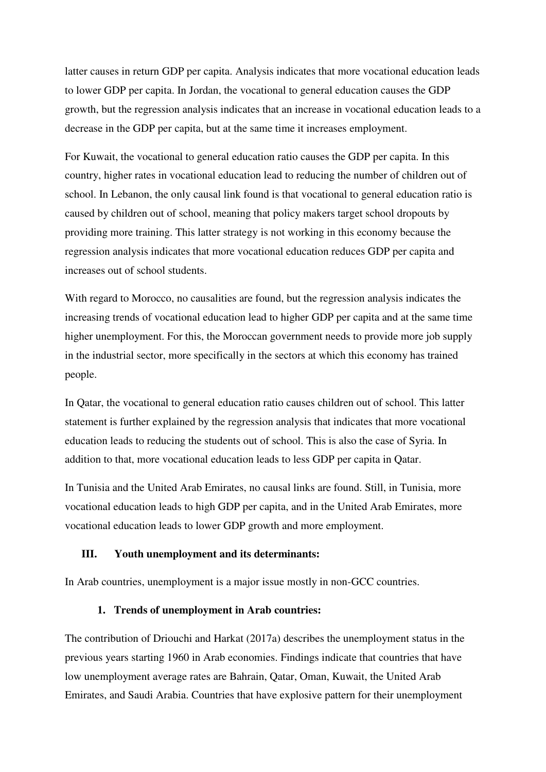latter causes in return GDP per capita. Analysis indicates that more vocational education leads to lower GDP per capita. In Jordan, the vocational to general education causes the GDP growth, but the regression analysis indicates that an increase in vocational education leads to a decrease in the GDP per capita, but at the same time it increases employment.

For Kuwait, the vocational to general education ratio causes the GDP per capita. In this country, higher rates in vocational education lead to reducing the number of children out of school. In Lebanon, the only causal link found is that vocational to general education ratio is caused by children out of school, meaning that policy makers target school dropouts by providing more training. This latter strategy is not working in this economy because the regression analysis indicates that more vocational education reduces GDP per capita and increases out of school students.

With regard to Morocco, no causalities are found, but the regression analysis indicates the increasing trends of vocational education lead to higher GDP per capita and at the same time higher unemployment. For this, the Moroccan government needs to provide more job supply in the industrial sector, more specifically in the sectors at which this economy has trained people.

In Qatar, the vocational to general education ratio causes children out of school. This latter statement is further explained by the regression analysis that indicates that more vocational education leads to reducing the students out of school. This is also the case of Syria. In addition to that, more vocational education leads to less GDP per capita in Qatar.

In Tunisia and the United Arab Emirates, no causal links are found. Still, in Tunisia, more vocational education leads to high GDP per capita, and in the United Arab Emirates, more vocational education leads to lower GDP growth and more employment.

#### **III. Youth unemployment and its determinants:**

In Arab countries, unemployment is a major issue mostly in non-GCC countries.

#### **1. Trends of unemployment in Arab countries:**

The contribution of Driouchi and Harkat (2017a) describes the unemployment status in the previous years starting 1960 in Arab economies. Findings indicate that countries that have low unemployment average rates are Bahrain, Qatar, Oman, Kuwait, the United Arab Emirates, and Saudi Arabia. Countries that have explosive pattern for their unemployment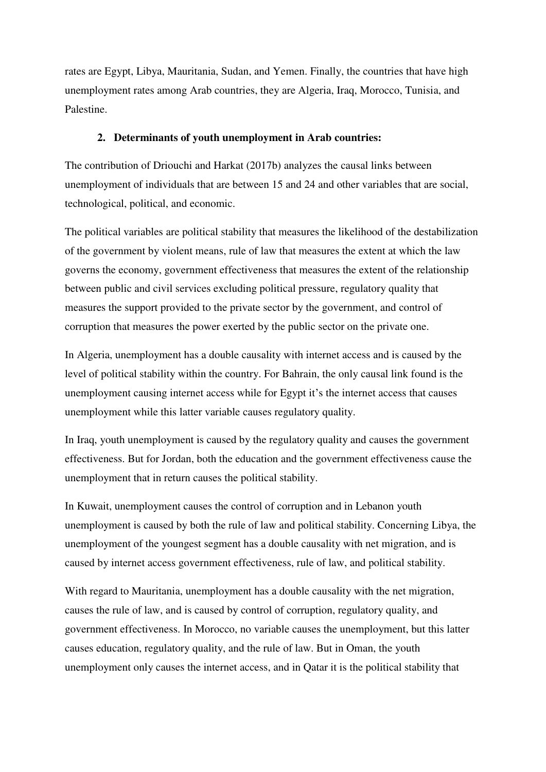rates are Egypt, Libya, Mauritania, Sudan, and Yemen. Finally, the countries that have high unemployment rates among Arab countries, they are Algeria, Iraq, Morocco, Tunisia, and Palestine.

#### **2. Determinants of youth unemployment in Arab countries:**

The contribution of Driouchi and Harkat (2017b) analyzes the causal links between unemployment of individuals that are between 15 and 24 and other variables that are social, technological, political, and economic.

The political variables are political stability that measures the likelihood of the destabilization of the government by violent means, rule of law that measures the extent at which the law governs the economy, government effectiveness that measures the extent of the relationship between public and civil services excluding political pressure, regulatory quality that measures the support provided to the private sector by the government, and control of corruption that measures the power exerted by the public sector on the private one.

In Algeria, unemployment has a double causality with internet access and is caused by the level of political stability within the country. For Bahrain, the only causal link found is the unemployment causing internet access while for Egypt it's the internet access that causes unemployment while this latter variable causes regulatory quality.

In Iraq, youth unemployment is caused by the regulatory quality and causes the government effectiveness. But for Jordan, both the education and the government effectiveness cause the unemployment that in return causes the political stability.

In Kuwait, unemployment causes the control of corruption and in Lebanon youth unemployment is caused by both the rule of law and political stability. Concerning Libya, the unemployment of the youngest segment has a double causality with net migration, and is caused by internet access government effectiveness, rule of law, and political stability.

With regard to Mauritania, unemployment has a double causality with the net migration, causes the rule of law, and is caused by control of corruption, regulatory quality, and government effectiveness. In Morocco, no variable causes the unemployment, but this latter causes education, regulatory quality, and the rule of law. But in Oman, the youth unemployment only causes the internet access, and in Qatar it is the political stability that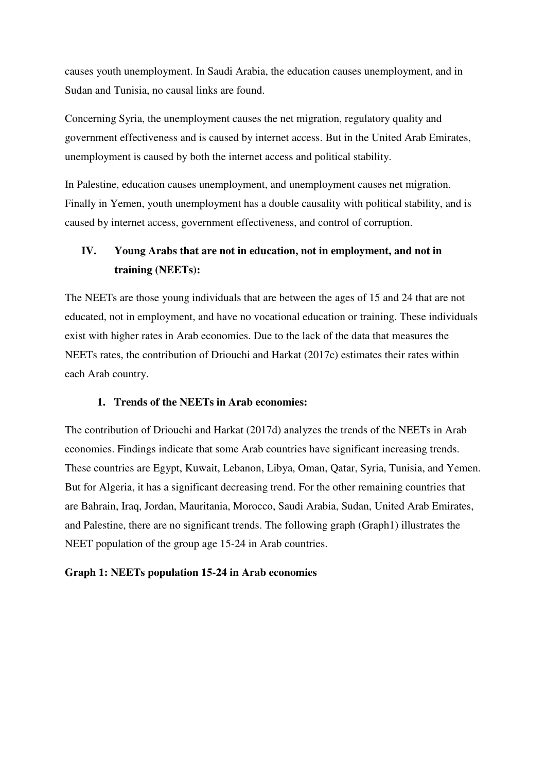causes youth unemployment. In Saudi Arabia, the education causes unemployment, and in Sudan and Tunisia, no causal links are found.

Concerning Syria, the unemployment causes the net migration, regulatory quality and government effectiveness and is caused by internet access. But in the United Arab Emirates, unemployment is caused by both the internet access and political stability.

In Palestine, education causes unemployment, and unemployment causes net migration. Finally in Yemen, youth unemployment has a double causality with political stability, and is caused by internet access, government effectiveness, and control of corruption.

# **IV. Young Arabs that are not in education, not in employment, and not in training (NEETs):**

The NEETs are those young individuals that are between the ages of 15 and 24 that are not educated, not in employment, and have no vocational education or training. These individuals exist with higher rates in Arab economies. Due to the lack of the data that measures the NEETs rates, the contribution of Driouchi and Harkat (2017c) estimates their rates within each Arab country.

### **1. Trends of the NEETs in Arab economies:**

The contribution of Driouchi and Harkat (2017d) analyzes the trends of the NEETs in Arab economies. Findings indicate that some Arab countries have significant increasing trends. These countries are Egypt, Kuwait, Lebanon, Libya, Oman, Qatar, Syria, Tunisia, and Yemen. But for Algeria, it has a significant decreasing trend. For the other remaining countries that are Bahrain, Iraq, Jordan, Mauritania, Morocco, Saudi Arabia, Sudan, United Arab Emirates, and Palestine, there are no significant trends. The following graph (Graph1) illustrates the NEET population of the group age 15-24 in Arab countries.

#### **Graph 1: NEETs population 15-24 in Arab economies**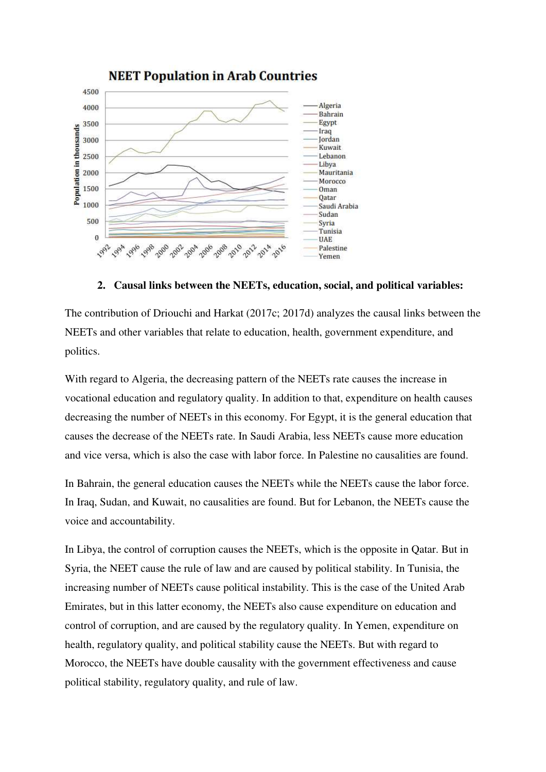

## **NEET Population in Arab Countries**

#### **2. Causal links between the NEETs, education, social, and political variables:**

The contribution of Driouchi and Harkat (2017c; 2017d) analyzes the causal links between the NEETs and other variables that relate to education, health, government expenditure, and politics.

With regard to Algeria, the decreasing pattern of the NEETs rate causes the increase in vocational education and regulatory quality. In addition to that, expenditure on health causes decreasing the number of NEETs in this economy. For Egypt, it is the general education that causes the decrease of the NEETs rate. In Saudi Arabia, less NEETs cause more education and vice versa, which is also the case with labor force. In Palestine no causalities are found.

In Bahrain, the general education causes the NEETs while the NEETs cause the labor force. In Iraq, Sudan, and Kuwait, no causalities are found. But for Lebanon, the NEETs cause the voice and accountability.

In Libya, the control of corruption causes the NEETs, which is the opposite in Qatar. But in Syria, the NEET cause the rule of law and are caused by political stability. In Tunisia, the increasing number of NEETs cause political instability. This is the case of the United Arab Emirates, but in this latter economy, the NEETs also cause expenditure on education and control of corruption, and are caused by the regulatory quality. In Yemen, expenditure on health, regulatory quality, and political stability cause the NEETs. But with regard to Morocco, the NEETs have double causality with the government effectiveness and cause political stability, regulatory quality, and rule of law.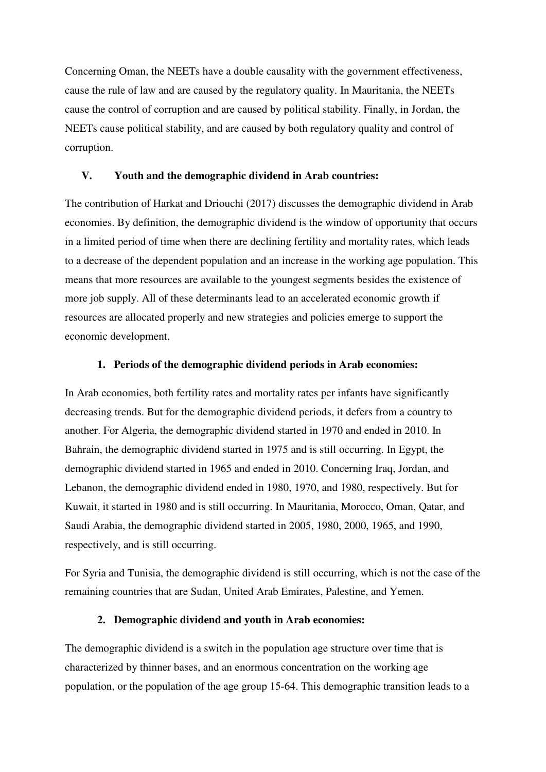Concerning Oman, the NEETs have a double causality with the government effectiveness, cause the rule of law and are caused by the regulatory quality. In Mauritania, the NEETs cause the control of corruption and are caused by political stability. Finally, in Jordan, the NEETs cause political stability, and are caused by both regulatory quality and control of corruption.

#### **V. Youth and the demographic dividend in Arab countries:**

The contribution of Harkat and Driouchi (2017) discusses the demographic dividend in Arab economies. By definition, the demographic dividend is the window of opportunity that occurs in a limited period of time when there are declining fertility and mortality rates, which leads to a decrease of the dependent population and an increase in the working age population. This means that more resources are available to the youngest segments besides the existence of more job supply. All of these determinants lead to an accelerated economic growth if resources are allocated properly and new strategies and policies emerge to support the economic development.

#### **1. Periods of the demographic dividend periods in Arab economies:**

In Arab economies, both fertility rates and mortality rates per infants have significantly decreasing trends. But for the demographic dividend periods, it defers from a country to another. For Algeria, the demographic dividend started in 1970 and ended in 2010. In Bahrain, the demographic dividend started in 1975 and is still occurring. In Egypt, the demographic dividend started in 1965 and ended in 2010. Concerning Iraq, Jordan, and Lebanon, the demographic dividend ended in 1980, 1970, and 1980, respectively. But for Kuwait, it started in 1980 and is still occurring. In Mauritania, Morocco, Oman, Qatar, and Saudi Arabia, the demographic dividend started in 2005, 1980, 2000, 1965, and 1990, respectively, and is still occurring.

For Syria and Tunisia, the demographic dividend is still occurring, which is not the case of the remaining countries that are Sudan, United Arab Emirates, Palestine, and Yemen.

#### **2. Demographic dividend and youth in Arab economies:**

The demographic dividend is a switch in the population age structure over time that is characterized by thinner bases, and an enormous concentration on the working age population, or the population of the age group 15-64. This demographic transition leads to a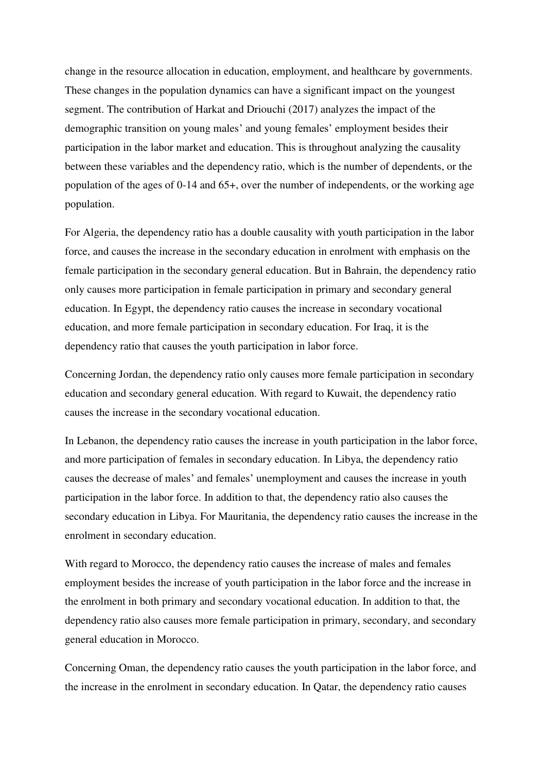change in the resource allocation in education, employment, and healthcare by governments. These changes in the population dynamics can have a significant impact on the youngest segment. The contribution of Harkat and Driouchi (2017) analyzes the impact of the demographic transition on young males' and young females' employment besides their participation in the labor market and education. This is throughout analyzing the causality between these variables and the dependency ratio, which is the number of dependents, or the population of the ages of 0-14 and 65+, over the number of independents, or the working age population.

For Algeria, the dependency ratio has a double causality with youth participation in the labor force, and causes the increase in the secondary education in enrolment with emphasis on the female participation in the secondary general education. But in Bahrain, the dependency ratio only causes more participation in female participation in primary and secondary general education. In Egypt, the dependency ratio causes the increase in secondary vocational education, and more female participation in secondary education. For Iraq, it is the dependency ratio that causes the youth participation in labor force.

Concerning Jordan, the dependency ratio only causes more female participation in secondary education and secondary general education. With regard to Kuwait, the dependency ratio causes the increase in the secondary vocational education.

In Lebanon, the dependency ratio causes the increase in youth participation in the labor force, and more participation of females in secondary education. In Libya, the dependency ratio causes the decrease of males' and females' unemployment and causes the increase in youth participation in the labor force. In addition to that, the dependency ratio also causes the secondary education in Libya. For Mauritania, the dependency ratio causes the increase in the enrolment in secondary education.

With regard to Morocco, the dependency ratio causes the increase of males and females employment besides the increase of youth participation in the labor force and the increase in the enrolment in both primary and secondary vocational education. In addition to that, the dependency ratio also causes more female participation in primary, secondary, and secondary general education in Morocco.

Concerning Oman, the dependency ratio causes the youth participation in the labor force, and the increase in the enrolment in secondary education. In Qatar, the dependency ratio causes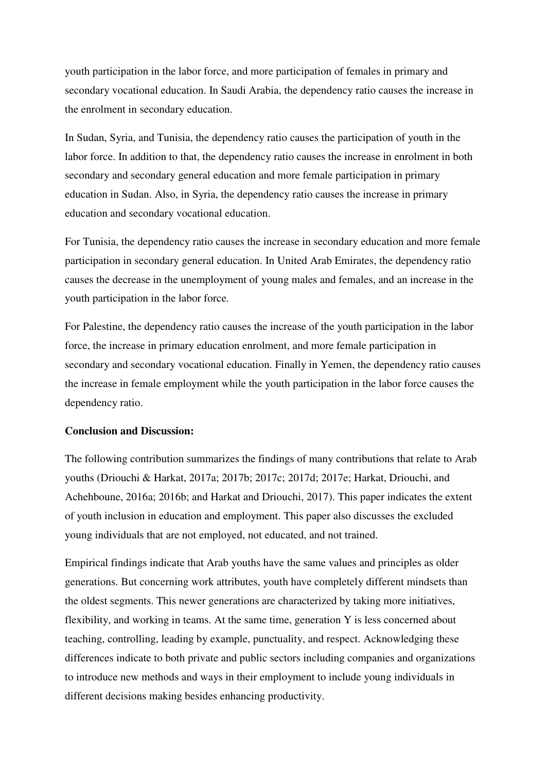youth participation in the labor force, and more participation of females in primary and secondary vocational education. In Saudi Arabia, the dependency ratio causes the increase in the enrolment in secondary education.

In Sudan, Syria, and Tunisia, the dependency ratio causes the participation of youth in the labor force. In addition to that, the dependency ratio causes the increase in enrolment in both secondary and secondary general education and more female participation in primary education in Sudan. Also, in Syria, the dependency ratio causes the increase in primary education and secondary vocational education.

For Tunisia, the dependency ratio causes the increase in secondary education and more female participation in secondary general education. In United Arab Emirates, the dependency ratio causes the decrease in the unemployment of young males and females, and an increase in the youth participation in the labor force.

For Palestine, the dependency ratio causes the increase of the youth participation in the labor force, the increase in primary education enrolment, and more female participation in secondary and secondary vocational education. Finally in Yemen, the dependency ratio causes the increase in female employment while the youth participation in the labor force causes the dependency ratio.

#### **Conclusion and Discussion:**

The following contribution summarizes the findings of many contributions that relate to Arab youths (Driouchi & Harkat, 2017a; 2017b; 2017c; 2017d; 2017e; Harkat, Driouchi, and Achehboune, 2016a; 2016b; and Harkat and Driouchi, 2017). This paper indicates the extent of youth inclusion in education and employment. This paper also discusses the excluded young individuals that are not employed, not educated, and not trained.

Empirical findings indicate that Arab youths have the same values and principles as older generations. But concerning work attributes, youth have completely different mindsets than the oldest segments. This newer generations are characterized by taking more initiatives, flexibility, and working in teams. At the same time, generation Y is less concerned about teaching, controlling, leading by example, punctuality, and respect. Acknowledging these differences indicate to both private and public sectors including companies and organizations to introduce new methods and ways in their employment to include young individuals in different decisions making besides enhancing productivity.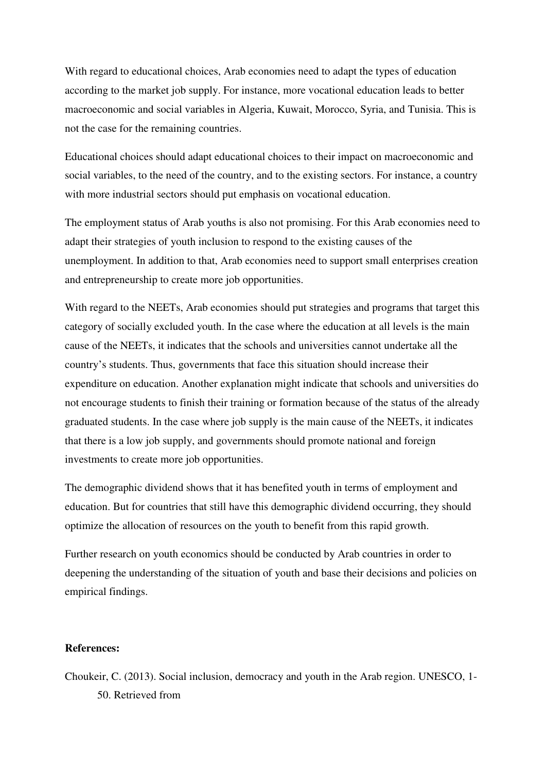With regard to educational choices, Arab economies need to adapt the types of education according to the market job supply. For instance, more vocational education leads to better macroeconomic and social variables in Algeria, Kuwait, Morocco, Syria, and Tunisia. This is not the case for the remaining countries.

Educational choices should adapt educational choices to their impact on macroeconomic and social variables, to the need of the country, and to the existing sectors. For instance, a country with more industrial sectors should put emphasis on vocational education.

The employment status of Arab youths is also not promising. For this Arab economies need to adapt their strategies of youth inclusion to respond to the existing causes of the unemployment. In addition to that, Arab economies need to support small enterprises creation and entrepreneurship to create more job opportunities.

With regard to the NEETs, Arab economies should put strategies and programs that target this category of socially excluded youth. In the case where the education at all levels is the main cause of the NEETs, it indicates that the schools and universities cannot undertake all the country's students. Thus, governments that face this situation should increase their expenditure on education. Another explanation might indicate that schools and universities do not encourage students to finish their training or formation because of the status of the already graduated students. In the case where job supply is the main cause of the NEETs, it indicates that there is a low job supply, and governments should promote national and foreign investments to create more job opportunities.

The demographic dividend shows that it has benefited youth in terms of employment and education. But for countries that still have this demographic dividend occurring, they should optimize the allocation of resources on the youth to benefit from this rapid growth.

Further research on youth economics should be conducted by Arab countries in order to deepening the understanding of the situation of youth and base their decisions and policies on empirical findings.

#### **References:**

Choukeir, C. (2013). Social inclusion, democracy and youth in the Arab region. UNESCO, 1- 50. Retrieved from